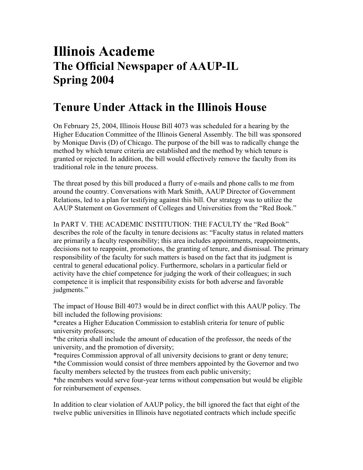## **Illinois Academe The Official Newspaper of AAUP-IL Spring 2004**

## **Tenure Under Attack in the Illinois House**

On February 25, 2004, Illinois House Bill 4073 was scheduled for a hearing by the Higher Education Committee of the Illinois General Assembly. The bill was sponsored by Monique Davis (D) of Chicago. The purpose of the bill was to radically change the method by which tenure criteria are established and the method by which tenure is granted or rejected. In addition, the bill would effectively remove the faculty from its traditional role in the tenure process.

The threat posed by this bill produced a flurry of e-mails and phone calls to me from around the country. Conversations with Mark Smith, AAUP Director of Government Relations, led to a plan for testifying against this bill. Our strategy was to utilize the AAUP Statement on Government of Colleges and Universities from the "Red Book."

In PART V. THE ACADEMIC INSTITUTION: THE FACULTY the "Red Book" describes the role of the faculty in tenure decisions as: "Faculty status in related matters are primarily a faculty responsibility; this area includes appointments, reappointments, decisions not to reappoint, promotions, the granting of tenure, and dismissal. The primary responsibility of the faculty for such matters is based on the fact that its judgment is central to general educational policy. Furthermore, scholars in a particular field or activity have the chief competence for judging the work of their colleagues; in such competence it is implicit that responsibility exists for both adverse and favorable judgments."

The impact of House Bill 4073 would be in direct conflict with this AAUP policy. The bill included the following provisions:

\*creates a Higher Education Commission to establish criteria for tenure of public university professors;

\*the criteria shall include the amount of education of the professor, the needs of the university, and the promotion of diversity;

\*requires Commission approval of all university decisions to grant or deny tenure; \*the Commission would consist of three members appointed by the Governor and two faculty members selected by the trustees from each public university;

\*the members would serve four-year terms without compensation but would be eligible for reinbursement of expenses.

In addition to clear violation of AAUP policy, the bill ignored the fact that eight of the twelve public universities in Illinois have negotiated contracts which include specific